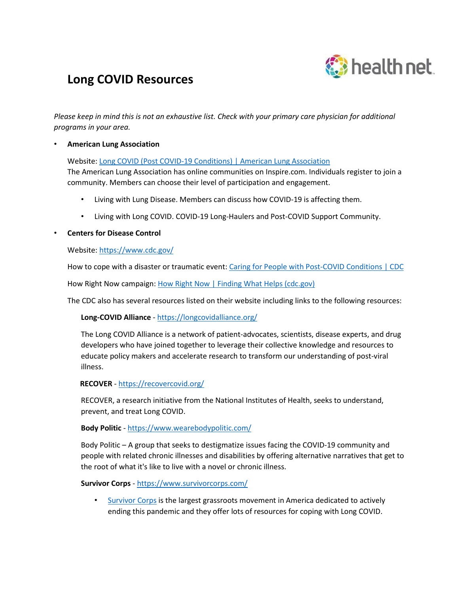

# **Long COVID Resources**

*Please keep in mind this is not an exhaustive list. Check with your primary care physician for additional programs in your area.*

# • **American Lung Association**

Website[: Long COVID \(Post COVID-19 Conditions\) | American Lung Association](https://www.lung.org/lung-health-diseases/lung-disease-lookup/covid-19/post-covid-19-recovery)

The American Lung Association has online communities on Inspire.com. Individuals register to join a community. Members can choose their level of participation and engagement.

- Living with Lung Disease. Members can discuss how COVID-19 is affecting them.
- Living with Long COVID. COVID-19 Long-Haulers and Post-COVID Support Community.

### • **Centers for Disease Control**

Website[: https://www.cdc.gov/](https://www.cdc.gov/)

How to cope with a disaster or traumatic event: [Caring for People with Post-COVID Conditions | CDC](https://www.cdc.gov/coronavirus/2019-ncov/long-term-effects/care-post-covid.html)

How Right Now campaign[: How Right Now | Finding What Helps \(cdc.gov\)](https://www.cdc.gov/howrightnow/index.html)

The CDC also has several resources listed on their website including links to the following resources:

**Long-COVID Alliance** - <https://longcovidalliance.org/>

The Long COVID Alliance is a network of patient-advocates, scientists, disease experts, and drug developers who have joined together to leverage their collective knowledge and resources to educate policy makers and accelerate research to transform our understanding of post-viral illness.

**RECOVER** - <https://recovercovid.org/>

RECOVER, a research initiative from the National Institutes of Health, seeks to understand, prevent, and treat Long COVID.

#### **Body Politic** - <https://www.wearebodypolitic.com/>

Body Politic – A group that seeks to destigmatize issues facing the COVID-19 community and people with related chronic illnesses and disabilities by offering alternative narratives that get to the root of what it's like to live with a novel or chronic illness.

**Survivor Corps** - <https://www.survivorcorps.com/>

• [Survivor Corps](https://www.facebook.com/groups/COVID19survivorcorps/) is the largest grassroots movement in America dedicated to actively ending this pandemic and they offer lots of resources for coping with Long COVID.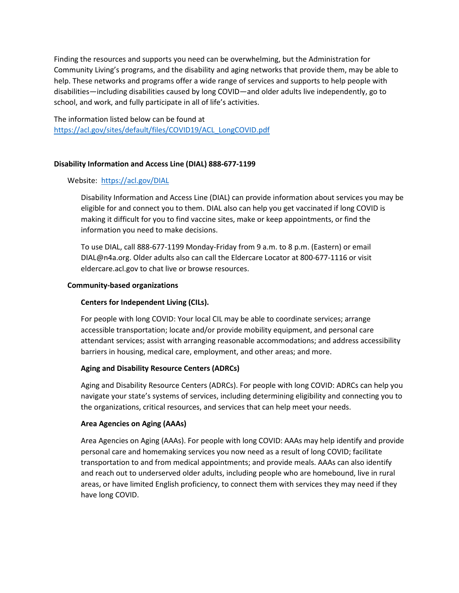Finding the resources and supports you need can be overwhelming, but the Administration for Community Living's programs, and the disability and aging networks that provide them, may be able to help. These networks and programs offer a wide range of services and supports to help people with disabilities—including disabilities caused by long COVID—and older adults live independently, go to school, and work, and fully participate in all of life's activities.

The information listed below can be found at [https://acl.gov/sites/default/files/COVID19/ACL\\_LongCOVID.pdf](https://acl.gov/sites/default/files/COVID19/ACL_LongCOVID.pdf)

# **Disability Information and Access Line (DIAL) 888-677-1199**

### Website: <https://acl.gov/DIAL>

Disability Information and Access Line (DIAL) can provide information about services you may be eligible for and connect you to them. DIAL also can help you get vaccinated if long COVID is making it difficult for you to find vaccine sites, make or keep appointments, or find the information you need to make decisions.

To use DIAL, call 888-677-1199 Monday-Friday from 9 a.m. to 8 p.m. (Eastern) or email DIAL@n4a.org. Older adults also can call the Eldercare Locator at 800-677-1116 or visit eldercare.acl.gov to chat live or browse resources.

### **Community-based organizations**

# **Centers for Independent Living (CILs).**

For people with long COVID: Your local CIL may be able to coordinate services; arrange accessible transportation; locate and/or provide mobility equipment, and personal care attendant services; assist with arranging reasonable accommodations; and address accessibility barriers in housing, medical care, employment, and other areas; and more.

# **Aging and Disability Resource Centers (ADRCs)**

Aging and Disability Resource Centers (ADRCs). For people with long COVID: ADRCs can help you navigate your state's systems of services, including determining eligibility and connecting you to the organizations, critical resources, and services that can help meet your needs.

#### **Area Agencies on Aging (AAAs)**

Area Agencies on Aging (AAAs). For people with long COVID: AAAs may help identify and provide personal care and homemaking services you now need as a result of long COVID; facilitate transportation to and from medical appointments; and provide meals. AAAs can also identify and reach out to underserved older adults, including people who are homebound, live in rural areas, or have limited English proficiency, to connect them with services they may need if they have long COVID.